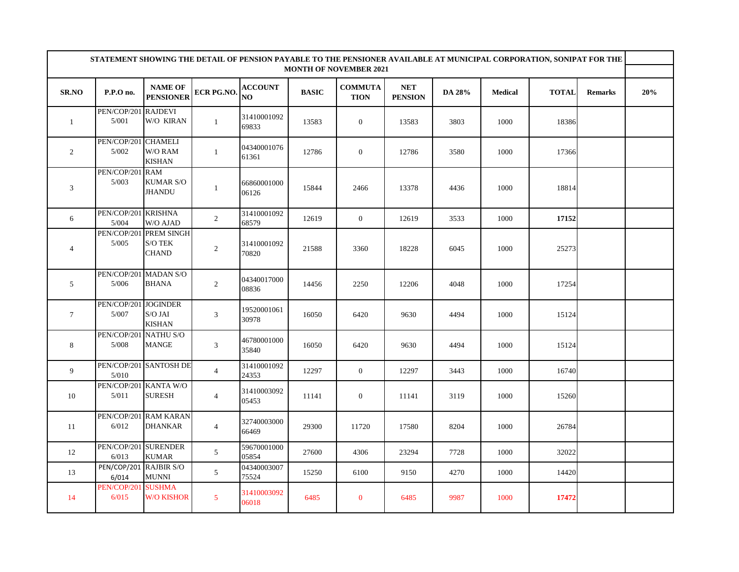|                 | STATEMENT SHOWING THE DETAIL OF PENSION PAYABLE TO THE PENSIONER AVAILABLE AT MUNICIPAL CORPORATION, SONIPAT FOR THE |                                                                  |                   |                      |              |                               |                              |        |                |              |                |     |
|-----------------|----------------------------------------------------------------------------------------------------------------------|------------------------------------------------------------------|-------------------|----------------------|--------------|-------------------------------|------------------------------|--------|----------------|--------------|----------------|-----|
|                 |                                                                                                                      |                                                                  |                   |                      |              | <b>MONTH OF NOVEMBER 2021</b> |                              |        |                |              |                |     |
| SR.NO           | P.P.O no.                                                                                                            | <b>NAME OF</b><br><b>PENSIONER</b>                               | <b>ECR PG.NO.</b> | <b>ACCOUNT</b><br>NO | <b>BASIC</b> | <b>COMMUTA</b><br><b>TION</b> | <b>NET</b><br><b>PENSION</b> | DA 28% | <b>Medical</b> | <b>TOTAL</b> | <b>Remarks</b> | 20% |
| $\mathbf{1}$    | PEN/COP/201 RAJDEVI<br>5/001                                                                                         | W/O KIRAN                                                        | $\mathbf{1}$      | 31410001092<br>69833 | 13583        | $\boldsymbol{0}$              | 13583                        | 3803   | 1000           | 18386        |                |     |
| 2               | PEN/COP/201 CHAMELI<br>5/002                                                                                         | W/O RAM<br><b>KISHAN</b>                                         | $\mathbf{1}$      | 04340001076<br>61361 | 12786        | $\boldsymbol{0}$              | 12786                        | 3580   | 1000           | 17366        |                |     |
| 3               | PEN/COP/201<br>5/003                                                                                                 | <b>RAM</b><br><b>KUMAR S/O</b><br><b>JHANDU</b>                  | $\mathbf{1}$      | 66860001000<br>06126 | 15844        | 2466                          | 13378                        | 4436   | 1000           | 18814        |                |     |
| 6               | PEN/COP/201 KRISHNA<br>5/004                                                                                         | W/O AJAD                                                         | 2                 | 31410001092<br>68579 | 12619        | $\mathbf{0}$                  | 12619                        | 3533   | 1000           | 17152        |                |     |
| $\overline{4}$  | PEN/COP/201<br>5/005                                                                                                 | <b>PREM SINGH</b><br>$\mathrm{S}/\mathrm{O}$ TEK<br><b>CHAND</b> | $\sqrt{2}$        | 31410001092<br>70820 | 21588        | 3360                          | 18228                        | 6045   | 1000           | 25273        |                |     |
| 5               | PEN/COP/201 MADAN S/O<br>5/006                                                                                       | <b>BHANA</b>                                                     | $\overline{2}$    | 04340017000<br>08836 | 14456        | 2250                          | 12206                        | 4048   | 1000           | 17254        |                |     |
| $7\phantom{.0}$ | PEN/COP/201 JOGINDER<br>5/007                                                                                        | S/O JAI<br><b>KISHAN</b>                                         | 3                 | 19520001061<br>30978 | 16050        | 6420                          | 9630                         | 4494   | 1000           | 15124        |                |     |
| 8               | PEN/COP/201 NATHU S/O<br>5/008                                                                                       | <b>MANGE</b>                                                     | $\sqrt{3}$        | 46780001000<br>35840 | 16050        | 6420                          | 9630                         | 4494   | 1000           | 15124        |                |     |
| 9               | 5/010                                                                                                                | PEN/COP/201 SANTOSH DE                                           | $\overline{4}$    | 31410001092<br>24353 | 12297        | $\overline{0}$                | 12297                        | 3443   | 1000           | 16740        |                |     |
| 10              | PEN/COP/201 KANTA W/O<br>5/011                                                                                       | <b>SURESH</b>                                                    | $\overline{4}$    | 31410003092<br>05453 | 11141        | $\boldsymbol{0}$              | 11141                        | 3119   | 1000           | 15260        |                |     |
| 11              | 6/012                                                                                                                | PEN/COP/201 RAM KARAN<br><b>DHANKAR</b>                          | $\overline{4}$    | 32740003000<br>66469 | 29300        | 11720                         | 17580                        | 8204   | 1000           | 26784        |                |     |
| 12              | PEN/COP/201 SURENDER<br>6/013                                                                                        | <b>KUMAR</b>                                                     | $5\overline{)}$   | 59670001000<br>05854 | 27600        | 4306                          | 23294                        | 7728   | 1000           | 32022        |                |     |
| 13              | PEN/COP/201 RAJBIR S/O<br>6/014                                                                                      | <b>MUNNI</b>                                                     | 5                 | 04340003007<br>75524 | 15250        | 6100                          | 9150                         | 4270   | 1000           | 14420        |                |     |
| 14              | PEN/COP/201<br>6/015                                                                                                 | <b>SUSHMA</b><br><b>W/O KISHOR</b>                               | $\mathfrak{S}$    | 31410003092<br>06018 | 6485         | $\bf{0}$                      | 6485                         | 9987   | 1000           | 17472        |                |     |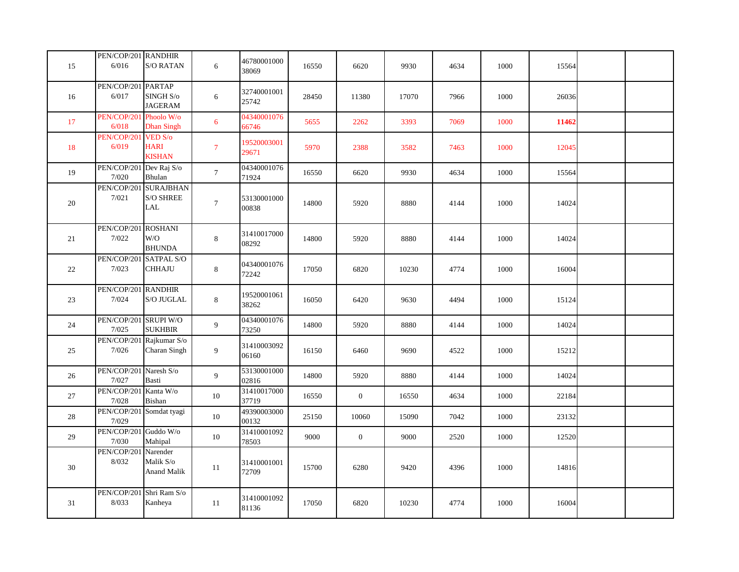| 15 | PEN/COP/201 RANDHIR<br>6/016 | <b>S/O RATAN</b>                                         | 6                | 46780001000<br>38069 | 16550 | 6620         | 9930  | 4634 | 1000 | 15564 |  |
|----|------------------------------|----------------------------------------------------------|------------------|----------------------|-------|--------------|-------|------|------|-------|--|
| 16 | PEN/COP/201<br>6/017         | <b>PARTAP</b><br>SINGH <sub>S/o</sub><br><b>JAGERAM</b>  | 6                | 32740001001<br>25742 | 28450 | 11380        | 17070 | 7966 | 1000 | 26036 |  |
| 17 | PEN/COP/201<br>6/018         | Phoolo W/o<br><b>Dhan Singh</b>                          | $\boldsymbol{6}$ | 04340001076<br>66746 | 5655  | 2262         | 3393  | 7069 | 1000 | 11462 |  |
| 18 | PEN/COP/201<br>6/019         | VED S/o<br><b>HARI</b><br><b>KISHAN</b>                  | $\overline{7}$   | 19520003001<br>29671 | 5970  | 2388         | 3582  | 7463 | 1000 | 12045 |  |
| 19 | PEN/COP/201<br>7/020         | Dev Raj S/o<br>Bhulan                                    | $7\phantom{.0}$  | 04340001076<br>71924 | 16550 | 6620         | 9930  | 4634 | 1000 | 15564 |  |
| 20 | PEN/COP/201<br>7/021         | <b>SURAJBHAN</b><br>$\mathrm{S}/\mathrm{O}$ SHREE<br>LAL | $\boldsymbol{7}$ | 53130001000<br>00838 | 14800 | 5920         | 8880  | 4144 | 1000 | 14024 |  |
| 21 | PEN/COP/201<br>7/022         | <b>ROSHANI</b><br>W/O<br><b>BHUNDA</b>                   | $\,8\,$          | 31410017000<br>08292 | 14800 | 5920         | 8880  | 4144 | 1000 | 14024 |  |
| 22 | PEN/COP/20<br>7/023          | SATPAL S/O<br><b>CHHAJU</b>                              | $8\,$            | 04340001076<br>72242 | 17050 | 6820         | 10230 | 4774 | 1000 | 16004 |  |
| 23 | PEN/COP/201<br>7/024         | <b>RANDHIR</b><br>$\mathrm{S}/\mathrm{O}$ JUGLAL         | $\,8\,$          | 19520001061<br>38262 | 16050 | 6420         | 9630  | 4494 | 1000 | 15124 |  |
| 24 | PEN/COP/201<br>7/025         | <b>SRUPI W/O</b><br><b>SUKHBIR</b>                       | 9                | 04340001076<br>73250 | 14800 | 5920         | 8880  | 4144 | 1000 | 14024 |  |
| 25 | PEN/COP/20<br>7/026          | Rajkumar S/o<br>Charan Singh                             | 9                | 31410003092<br>06160 | 16150 | 6460         | 9690  | 4522 | 1000 | 15212 |  |
| 26 | PEN/COP/201<br>7/027         | Naresh S/o<br>Basti                                      | $\overline{9}$   | 53130001000<br>02816 | 14800 | 5920         | 8880  | 4144 | 1000 | 14024 |  |
| 27 | PEN/COP/201<br>7/028         | Kanta W/o<br>Bishan                                      | $10\,$           | 31410017000<br>37719 | 16550 | $\mathbf{0}$ | 16550 | 4634 | 1000 | 22184 |  |
| 28 | PEN/COP/201<br>7/029         | Somdat tyagi                                             | 10               | 49390003000<br>00132 | 25150 | 10060        | 15090 | 7042 | 1000 | 23132 |  |
| 29 | PEN/COP/201<br>7/030         | Guddo $\mathrm{W}/\mathrm{o}$<br>Mahipal                 | $10\,$           | 31410001092<br>78503 | 9000  | $\mathbf{0}$ | 9000  | 2520 | 1000 | 12520 |  |
| 30 | PEN/COP/20<br>8/032          | Narender<br>Malik S/o<br><b>Anand Malik</b>              | 11               | 31410001001<br>72709 | 15700 | 6280         | 9420  | 4396 | 1000 | 14816 |  |
| 31 | PEN/COP/201<br>8/033         | Shri Ram S/o<br>Kanheya                                  | 11               | 31410001092<br>81136 | 17050 | 6820         | 10230 | 4774 | 1000 | 16004 |  |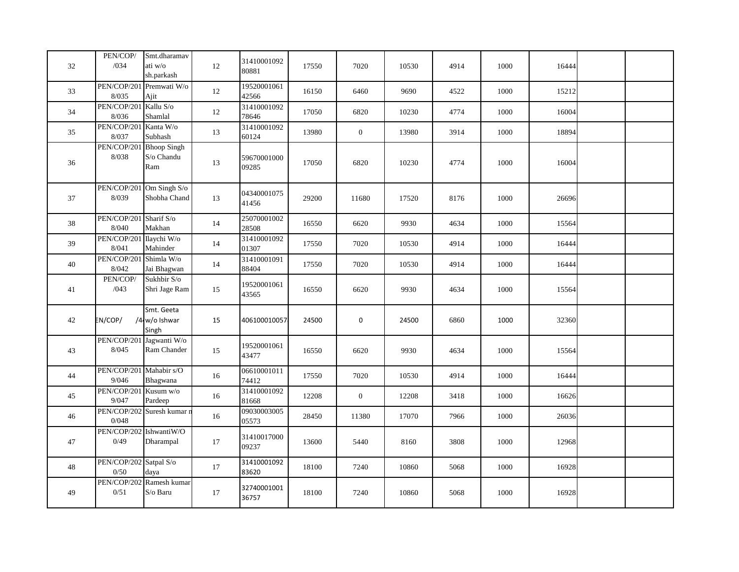| 32 | PEN/COP/<br>/034                  | Smt.dharamav<br>ati w/o<br>sh.parkash    | 12     | 31410001092<br>80881 | 17550 | 7020           | 10530 | 4914 | 1000 | 16444 |  |
|----|-----------------------------------|------------------------------------------|--------|----------------------|-------|----------------|-------|------|------|-------|--|
| 33 | 8/035                             | PEN/COP/201 Premwati W/o<br>Ajit         | 12     | 19520001061<br>42566 | 16150 | 6460           | 9690  | 4522 | 1000 | 15212 |  |
| 34 | PEN/COP/201 Kallu S/o<br>8/036    | Shamlal                                  | 12     | 31410001092<br>78646 | 17050 | 6820           | 10230 | 4774 | 1000 | 16004 |  |
| 35 | PEN/COP/201<br>8/037              | Kanta W/o<br>Subhash                     | 13     | 31410001092<br>60124 | 13980 | $\overline{0}$ | 13980 | 3914 | 1000 | 18894 |  |
| 36 | PEN/COP/201<br>8/038              | <b>Bhoop Singh</b><br>S/o Chandu<br>Ram  | 13     | 59670001000<br>09285 | 17050 | 6820           | 10230 | 4774 | 1000 | 16004 |  |
| 37 | 8/039                             | PEN/COP/201 Om Singh S/o<br>Shobha Chand | 13     | 04340001075<br>41456 | 29200 | 11680          | 17520 | 8176 | 1000 | 26696 |  |
| 38 | PEN/COP/201 Sharif S/o<br>8/040   | Makhan                                   | 14     | 25070001002<br>28508 | 16550 | 6620           | 9930  | 4634 | 1000 | 15564 |  |
| 39 | PEN/COP/201<br>8/041              | Ilaychi W/o<br>Mahinder                  | 14     | 31410001092<br>01307 | 17550 | 7020           | 10530 | 4914 | 1000 | 16444 |  |
| 40 | PEN/COP/201 Shimla W/o<br>8/042   | Jai Bhagwan                              | 14     | 31410001091<br>88404 | 17550 | 7020           | 10530 | 4914 | 1000 | 16444 |  |
| 41 | PEN/COP/<br>/043                  | Sukhbir S/o<br>Shri Jage Ram             | 15     | 19520001061<br>43565 | 16550 | 6620           | 9930  | 4634 | 1000 | 15564 |  |
| 42 | EN/COP/                           | Smt. Geeta<br>/4 w/o Ishwar<br>Singh     | 15     | 406100010057         | 24500 | $\mathbf 0$    | 24500 | 6860 | 1000 | 32360 |  |
| 43 | PEN/COP/201 Jagwanti W/o<br>8/045 | Ram Chander                              | 15     | 19520001061<br>43477 | 16550 | 6620           | 9930  | 4634 | 1000 | 15564 |  |
| 44 | PEN/COP/201 Mahabir s/O<br>9/046  | Bhagwana                                 | $16\,$ | 06610001011<br>74412 | 17550 | 7020           | 10530 | 4914 | 1000 | 16444 |  |
| 45 | PEN/COP/201 Kusum w/o<br>9/047    | Pardeep                                  | 16     | 31410001092<br>81668 | 12208 | $\mathbf{0}$   | 12208 | 3418 | 1000 | 16626 |  |
| 46 | 0/048                             | PEN/COP/202 Suresh kumar n               | 16     | 09030003005<br>05573 | 28450 | 11380          | 17070 | 7966 | 1000 | 26036 |  |
| 47 | PEN/COP/202 IshwantiW/O<br>0/49   | Dharampal                                | 17     | 31410017000<br>09237 | 13600 | 5440           | 8160  | 3808 | 1000 | 12968 |  |
| 48 | PEN/COP/202 Satpal S/o<br>0/50    | daya                                     | 17     | 31410001092<br>83620 | 18100 | 7240           | 10860 | 5068 | 1000 | 16928 |  |
| 49 | 0/51                              | PEN/COP/202 Ramesh kumar<br>S/o Baru     | 17     | 32740001001<br>36757 | 18100 | 7240           | 10860 | 5068 | 1000 | 16928 |  |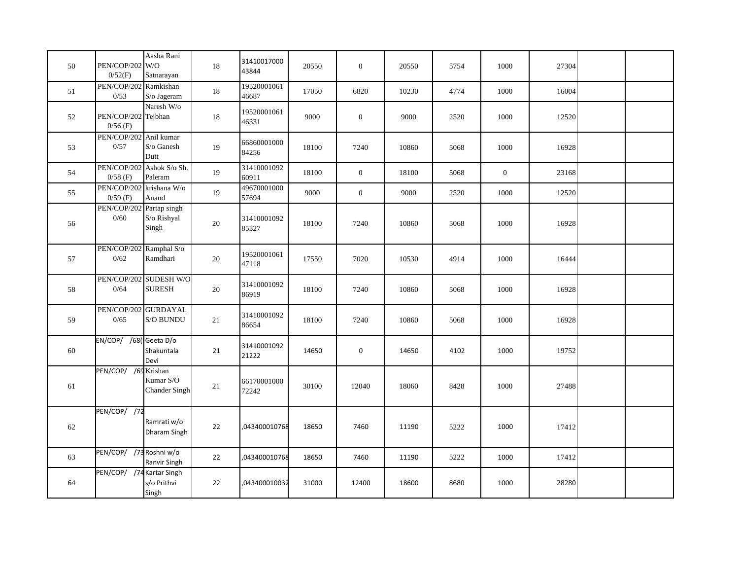| 50 | PEN/COP/202 W/O<br>0/52(F)              | Aasha Rani<br>Satnarayan                | 18     | 31410017000<br>43844 | 20550 | $\mathbf{0}$     | 20550 | 5754 | 1000           | 27304 |  |
|----|-----------------------------------------|-----------------------------------------|--------|----------------------|-------|------------------|-------|------|----------------|-------|--|
| 51 | PEN/COP/202 Ramkishan<br>0/53           | S/o Jageram                             | 18     | 19520001061<br>46687 | 17050 | 6820             | 10230 | 4774 | 1000           | 16004 |  |
| 52 | PEN/COP/202 Tejbhan<br>$0/56$ (F)       | Naresh W/o                              | 18     | 19520001061<br>46331 | 9000  | $\boldsymbol{0}$ | 9000  | 2520 | 1000           | 12520 |  |
| 53 | PEN/COP/202 Anil kumar<br>0/57          | S/o Ganesh<br>Dutt                      | 19     | 66860001000<br>84256 | 18100 | 7240             | 10860 | 5068 | 1000           | 16928 |  |
| 54 | PEN/COP/202 Ashok S/o Sh.<br>$0/58$ (F) | Paleram                                 | 19     | 31410001092<br>60911 | 18100 | $\overline{0}$   | 18100 | 5068 | $\overline{0}$ | 23168 |  |
| 55 | PEN/COP/202 krishana W/o<br>$0/59$ (F)  | Anand                                   | 19     | 49670001000<br>57694 | 9000  | $\boldsymbol{0}$ | 9000  | 2520 | 1000           | 12520 |  |
| 56 | PEN/COP/202 Partap singh<br>$0/60\,$    | S/o Rishyal<br>Singh                    | $20\,$ | 31410001092<br>85327 | 18100 | 7240             | 10860 | 5068 | 1000           | 16928 |  |
| 57 | PEN/COP/202 Ramphal S/o<br>0/62         | Ramdhari                                | $20\,$ | 19520001061<br>47118 | 17550 | 7020             | 10530 | 4914 | 1000           | 16444 |  |
| 58 | 0/64                                    | PEN/COP/202 SUDESH W/O<br><b>SURESH</b> | 20     | 31410001092<br>86919 | 18100 | 7240             | 10860 | 5068 | 1000           | 16928 |  |
| 59 | PEN/COP/202 GURDAYAL<br>0/65            | S/O BUNDU                               | 21     | 31410001092<br>86654 | 18100 | 7240             | 10860 | 5068 | 1000           | 16928 |  |
| 60 | EN/COP/ /68(Geeta D/o                   | Shakuntala<br>Devi                      | 21     | 31410001092<br>21222 | 14650 | $\pmb{0}$        | 14650 | 4102 | 1000           | 19752 |  |
| 61 | PEN/COP/ /69 Krishan                    | Kumar S/O<br>Chander Singh              | 21     | 66170001000<br>72242 | 30100 | 12040            | 18060 | 8428 | 1000           | 27488 |  |
| 62 | PEN/COP/ /72                            | Ramrati w/o<br>Dharam Singh             | 22     | 043400010768         | 18650 | 7460             | 11190 | 5222 | 1000           | 17412 |  |
| 63 | PEN/COP/ /73 Roshni w/o                 | Ranvir Singh                            | 22     | 043400010768         | 18650 | 7460             | 11190 | 5222 | 1000           | 17412 |  |
| 64 | PEN/COP/ /74 Kartar Singh               | s/o Prithvi<br>Singh                    | 22     | ,043400010032        | 31000 | 12400            | 18600 | 8680 | 1000           | 28280 |  |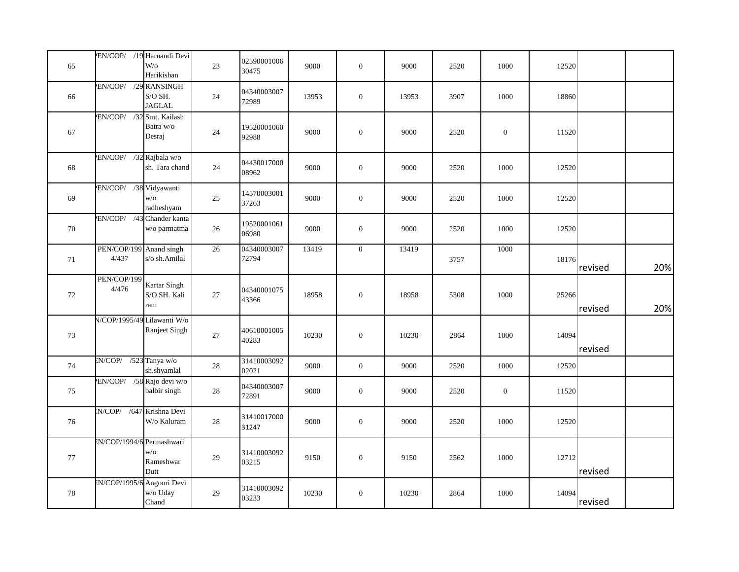| 65 |                                  | EN/COP/ /19 Harnandi Devi<br>$W$ /0<br>Harikishan | $23\,$ | 02590001006<br>30475 | 9000  | $\boldsymbol{0}$ | 9000  | 2520 | 1000             | 12520 |         |     |
|----|----------------------------------|---------------------------------------------------|--------|----------------------|-------|------------------|-------|------|------------------|-------|---------|-----|
| 66 | EN/COP/ /29 RANSINGH             | S/O SH.<br><b>JAGLAL</b>                          | 24     | 04340003007<br>72989 | 13953 | $\boldsymbol{0}$ | 13953 | 3907 | 1000             | 18860 |         |     |
| 67 | EN/COP/ /32 Smt. Kailash         | Batra w/o<br>Desraj                               | 24     | 19520001060<br>92988 | 9000  | $\boldsymbol{0}$ | 9000  | 2520 | $\mathbf{0}$     | 11520 |         |     |
| 68 | EN/COP/ /32 Rajbala w/o          | sh. Tara chand                                    | 24     | 04430017000<br>08962 | 9000  | $\boldsymbol{0}$ | 9000  | 2520 | 1000             | 12520 |         |     |
| 69 | EN/COP/ /38 Vidyawanti           | W/O<br>radheshyam                                 | 25     | 14570003001<br>37263 | 9000  | $\boldsymbol{0}$ | 9000  | 2520 | 1000             | 12520 |         |     |
| 70 | EN/COP/ /43 Chander kanta        | w/o parmatma                                      | $26\,$ | 19520001061<br>06980 | 9000  | $\boldsymbol{0}$ | 9000  | 2520 | 1000             | 12520 |         |     |
| 71 | PEN/COP/199 Anand singh<br>4/437 | s/o sh.Amilal                                     | 26     | 04340003007<br>72794 | 13419 | $\mathbf{0}$     | 13419 | 3757 | 1000             | 18176 | revised | 20% |
| 72 | PEN/COP/199<br>4/476             | Kartar Singh<br>S/O SH. Kali<br>ram               | $27\,$ | 04340001075<br>43366 | 18958 | $\boldsymbol{0}$ | 18958 | 5308 | 1000             | 25266 | revised | 20% |
| 73 | V/COP/1995/49 Lilawanti W/o      | Ranjeet Singh                                     | 27     | 40610001005<br>40283 | 10230 | $\mathbf{0}$     | 10230 | 2864 | 1000             | 14094 | revised |     |
| 74 | EN/COP/ /523 Tanya w/o           | sh.shyamlal                                       | 28     | 31410003092<br>02021 | 9000  | $\boldsymbol{0}$ | 9000  | 2520 | 1000             | 12520 |         |     |
| 75 | EN/COP/ /58 Rajo devi w/o        | balbir singh                                      | 28     | 04340003007<br>72891 | 9000  | $\boldsymbol{0}$ | 9000  | 2520 | $\boldsymbol{0}$ | 11520 |         |     |
| 76 | N/COP/ /647 Krishna Devi         | W/o Kaluram                                       | $28\,$ | 31410017000<br>31247 | 9000  | $\boldsymbol{0}$ | 9000  | 2520 | 1000             | 12520 |         |     |
| 77 | EN/COP/1994/6 Permashwari        | W/O<br>Rameshwar<br>Dutt                          | $29\,$ | 31410003092<br>03215 | 9150  | $\boldsymbol{0}$ | 9150  | 2562 | 1000             | 12712 | revised |     |
| 78 | N/COP/1995/6 Angoori Devi        | w/o Uday<br>Chand                                 | 29     | 31410003092<br>03233 | 10230 | $\mathbf{0}$     | 10230 | 2864 | 1000             | 14094 | revised |     |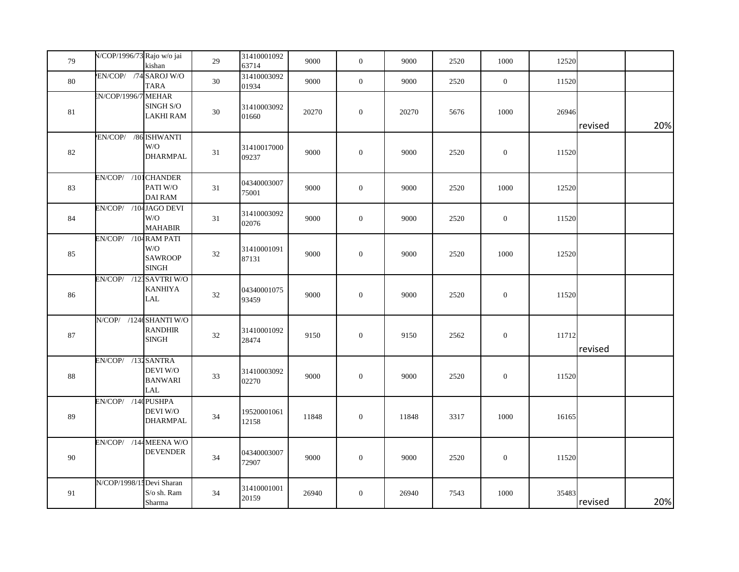| 79     | N/COP/1996/73 Rajo w/o jai | kishan                                         | 29     | 31410001092<br>63714 | 9000  | $\overline{0}$   | 9000  | 2520 | 1000             | 12520 |         |     |
|--------|----------------------------|------------------------------------------------|--------|----------------------|-------|------------------|-------|------|------------------|-------|---------|-----|
| 80     | EN/COP/ /74 SAROJ W/O      | TARA                                           | 30     | 31410003092<br>01934 | 9000  | $\boldsymbol{0}$ | 9000  | 2520 | $\boldsymbol{0}$ | 11520 |         |     |
| $81\,$ | N/COP/1996/7 MEHAR         | $\mathop{\rm SINGH}\nolimits$ S/O<br>LAKHI RAM | $30\,$ | 31410003092<br>01660 | 20270 | $\boldsymbol{0}$ | 20270 | 5676 | 1000             | 26946 | revised | 20% |
| 82     | EN/COP/ /86 ISHWANTI       | W/O<br><b>DHARMPAL</b>                         | $31\,$ | 31410017000<br>09237 | 9000  | $\boldsymbol{0}$ | 9000  | 2520 | $\mathbf{0}$     | 11520 |         |     |
| 83     | EN/COP/ /101 CHANDER       | PATI W/O<br><b>DAI RAM</b>                     | 31     | 04340003007<br>75001 | 9000  | $\boldsymbol{0}$ | 9000  | 2520 | 1000             | 12520 |         |     |
| 84     | EN/COP/ /104 JAGO DEVI     | W/O<br><b>MAHABIR</b>                          | 31     | 31410003092<br>02076 | 9000  | $\boldsymbol{0}$ | 9000  | 2520 | $\boldsymbol{0}$ | 11520 |         |     |
| 85     | EN/COP/ /104 RAM PATI      | W/O<br><b>SAWROOP</b><br><b>SINGH</b>          | 32     | 31410001091<br>87131 | 9000  | $\boldsymbol{0}$ | 9000  | 2520 | 1000             | 12520 |         |     |
| 86     | EN/COP/ /123 SAVTRI W/O    | <b>KANHIYA</b><br>$\ensuremath{\text{LAL}}$    | 32     | 04340001075<br>93459 | 9000  | $\boldsymbol{0}$ | 9000  | 2520 | $\boldsymbol{0}$ | 11520 |         |     |
| 87     | N/COP/ /124(SHANTI W/O     | <b>RANDHIR</b><br><b>SINGH</b>                 | $32\,$ | 31410001092<br>28474 | 9150  | $\boldsymbol{0}$ | 9150  | 2562 | $\boldsymbol{0}$ | 11712 | revised |     |
| 88     | EN/COP/ /132 SANTRA        | DEVI W/O<br><b>BANWARI</b><br>LAL              | 33     | 31410003092<br>02270 | 9000  | $\boldsymbol{0}$ | 9000  | 2520 | $\boldsymbol{0}$ | 11520 |         |     |
| 89     | EN/COP/ /140 PUSHPA        | DEVI W/O<br>DHARMPAL                           | 34     | 19520001061<br>12158 | 11848 | $\boldsymbol{0}$ | 11848 | 3317 | 1000             | 16165 |         |     |
| 90     | EN/COP/ /144 MEENA W/O     | <b>DEVENDER</b>                                | $34\,$ | 04340003007<br>72907 | 9000  | $\boldsymbol{0}$ | 9000  | 2520 | $\mathbf{0}$     | 11520 |         |     |
| 91     | N/COP/1998/1: Devi Sharan  | S/o sh. Ram<br>Sharma                          | 34     | 31410001001<br>20159 | 26940 | $\boldsymbol{0}$ | 26940 | 7543 | 1000             | 35483 | revised | 20% |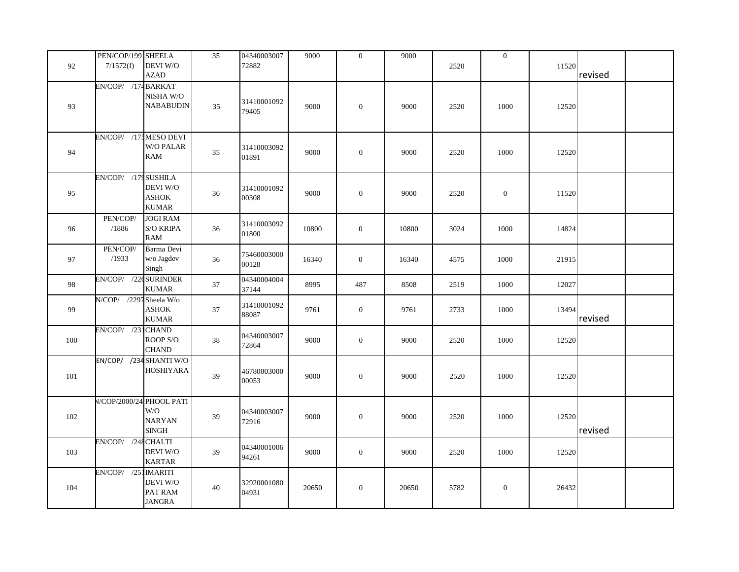|     | PEN/COP/199 SHEELA      | DEVI W/O                                                         | $\overline{35}$ | 04340003007<br>72882 | 9000  | $\mathbf{0}$     | 9000  |      | $\mathbf{0}$ |       |         |  |
|-----|-------------------------|------------------------------------------------------------------|-----------------|----------------------|-------|------------------|-------|------|--------------|-------|---------|--|
| 92  | 7/1572(f)               | <b>AZAD</b>                                                      |                 |                      |       |                  |       | 2520 |              | 11520 | revised |  |
| 93  | EN/COP/ /174 BARKAT     | NISHA W/O<br><b>NABABUDIN</b>                                    | 35              | 31410001092<br>79405 | 9000  | $\overline{0}$   | 9000  | 2520 | 1000         | 12520 |         |  |
| 94  | EN/COP/ /17: MESO DEVI  | <b>W/O PALAR</b><br><b>RAM</b>                                   | 35              | 31410003092<br>01891 | 9000  | $\boldsymbol{0}$ | 9000  | 2520 | 1000         | 12520 |         |  |
| 95  | EN/COP/ /179 SUSHILA    | DEVI W/O<br><b>ASHOK</b><br><b>KUMAR</b>                         | 36              | 31410001092<br>00308 | 9000  | $\mathbf{0}$     | 9000  | 2520 | $\mathbf{0}$ | 11520 |         |  |
| 96  | PEN/COP/<br>/1886       | <b>JOGI RAM</b><br>$\mathbf S/\mathbf O$ KRIPA<br><b>RAM</b>     | 36              | 31410003092<br>01800 | 10800 | $\mathbf{0}$     | 10800 | 3024 | 1000         | 14824 |         |  |
| 97  | PEN/COP/<br>/1933       | Barma Devi<br>w/o Jagdev<br>Singh                                | 36              | 75460003000<br>00128 | 16340 | $\mathbf{0}$     | 16340 | 4575 | 1000         | 21915 |         |  |
| 98  | EN/COP/ /22cSURINDER    | <b>KUMAR</b>                                                     | 37              | 04340004004<br>37144 | 8995  | 487              | 8508  | 2519 | 1000         | 12027 |         |  |
| 99  | N/COP/ /2297 Sheela W/o | <b>ASHOK</b><br><b>KUMAR</b>                                     | 37              | 31410001092<br>88087 | 9761  | $\boldsymbol{0}$ | 9761  | 2733 | 1000         | 13494 | revised |  |
| 100 | EN/COP/ /231 CHAND      | ROOP S/O<br><b>CHAND</b>                                         | 38              | 04340003007<br>72864 | 9000  | $\mathbf{0}$     | 9000  | 2520 | 1000         | 12520 |         |  |
| 101 |                         | EN/COP/ /234 SHANTI W/O<br><b>HOSHIYARA</b>                      | 39              | 46780003000<br>00053 | 9000  | $\boldsymbol{0}$ | 9000  | 2520 | 1000         | 12520 |         |  |
| 102 |                         | V/COP/2000/24 PHOOL PATI<br>W/O<br><b>NARYAN</b><br><b>SINGH</b> | 39              | 04340003007<br>72916 | 9000  | $\boldsymbol{0}$ | 9000  | 2520 | 1000         | 12520 | revised |  |
| 103 | EN/COP/ /248 CHALTI     | DEVI W/O<br><b>KARTAR</b>                                        | 39              | 04340001006<br>94261 | 9000  | $\boldsymbol{0}$ | 9000  | 2520 | 1000         | 12520 |         |  |
| 104 | EN/COP/ /251 IMARITI    | DEVI W/O<br>PAT RAM<br><b>JANGRA</b>                             | 40              | 32920001080<br>04931 | 20650 | $\overline{0}$   | 20650 | 5782 | $\mathbf{0}$ | 26432 |         |  |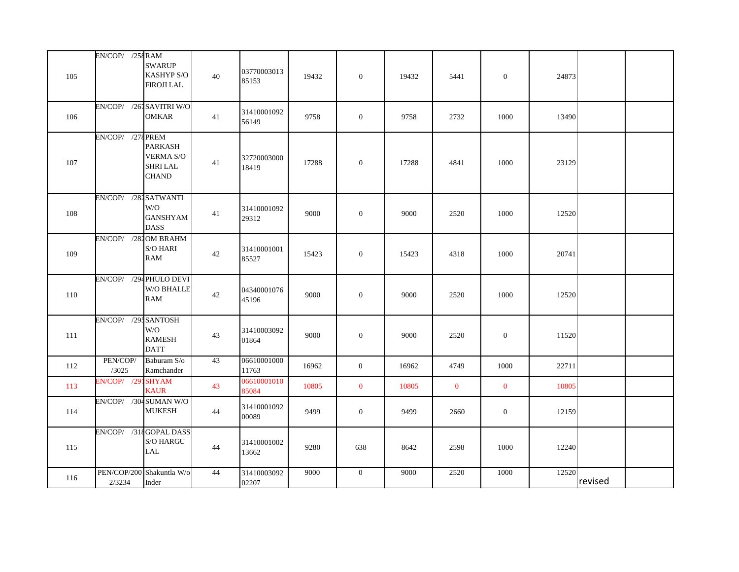|     | EN/COP/ /258 RAM         |                                                                       |        |                      |       |                  |       |              |              |       |         |  |
|-----|--------------------------|-----------------------------------------------------------------------|--------|----------------------|-------|------------------|-------|--------------|--------------|-------|---------|--|
| 105 |                          | <b>SWARUP</b><br>KASHYP S/O<br><b>FIROJI LAL</b>                      | $40\,$ | 03770003013<br>85153 | 19432 | $\boldsymbol{0}$ | 19432 | 5441         | $\mathbf{0}$ | 24873 |         |  |
| 106 | EN/COP/ /261 SAVITRI W/O | <b>OMKAR</b>                                                          | 41     | 31410001092<br>56149 | 9758  | $\overline{0}$   | 9758  | 2732         | 1000         | 13490 |         |  |
| 107 | EN/COP/ /278 PREM        | <b>PARKASH</b><br><b>VERMA S/O</b><br><b>SHRI LAL</b><br><b>CHAND</b> | 41     | 32720003000<br>18419 | 17288 | $\mathbf{0}$     | 17288 | 4841         | 1000         | 23129 |         |  |
| 108 | EN/COP/ /282 SATWANTI    | W/O<br><b>GANSHYAM</b><br><b>DASS</b>                                 | 41     | 31410001092<br>29312 | 9000  | $\mathbf{0}$     | 9000  | 2520         | 1000         | 12520 |         |  |
| 109 | EN/COP/ /281 OM BRAHM    | $\mathrm{S}/\mathrm{O}$ HARI<br><b>RAM</b>                            | 42     | 31410001001<br>85527 | 15423 | $\overline{0}$   | 15423 | 4318         | 1000         | 20741 |         |  |
| 110 | EN/COP/ /294 PHULO DEVI  | W/O BHALLE<br><b>RAM</b>                                              | 42     | 04340001076<br>45196 | 9000  | $\mathbf{0}$     | 9000  | 2520         | 1000         | 12520 |         |  |
| 111 | EN/COP/ /29: SANTOSH     | W/O<br><b>RAMESH</b><br><b>DATT</b>                                   | 43     | 31410003092<br>01864 | 9000  | $\mathbf{0}$     | 9000  | 2520         | $\mathbf{0}$ | 11520 |         |  |
| 112 | PEN/COP/<br>/3025        | Baburam S/o<br>Ramchander                                             | 43     | 06610001000<br>11763 | 16962 | $\overline{0}$   | 16962 | 4749         | 1000         | 22711 |         |  |
| 113 | EN/COP/ /29              | <b>ISHYAM</b><br><b>KAUR</b>                                          | 43     | 06610001010<br>85084 | 10805 | $\mathbf{0}$     | 10805 | $\mathbf{0}$ | $\mathbf{0}$ | 10805 |         |  |
| 114 | EN/COP/ /304 SUMAN W/O   | <b>MUKESH</b>                                                         | 44     | 31410001092<br>00089 | 9499  | $\boldsymbol{0}$ | 9499  | 2660         | $\mathbf{0}$ | 12159 |         |  |
| 115 | EN/COP/ /318 GOPAL DASS  | S/O HARGU<br>LAL                                                      | 44     | 31410001002<br>13662 | 9280  | 638              | 8642  | 2598         | 1000         | 12240 |         |  |
| 116 | 2/3234                   | PEN/COP/200 Shakuntla W/o<br>Inder                                    | 44     | 31410003092<br>02207 | 9000  | $\overline{0}$   | 9000  | 2520         | 1000         | 12520 | revised |  |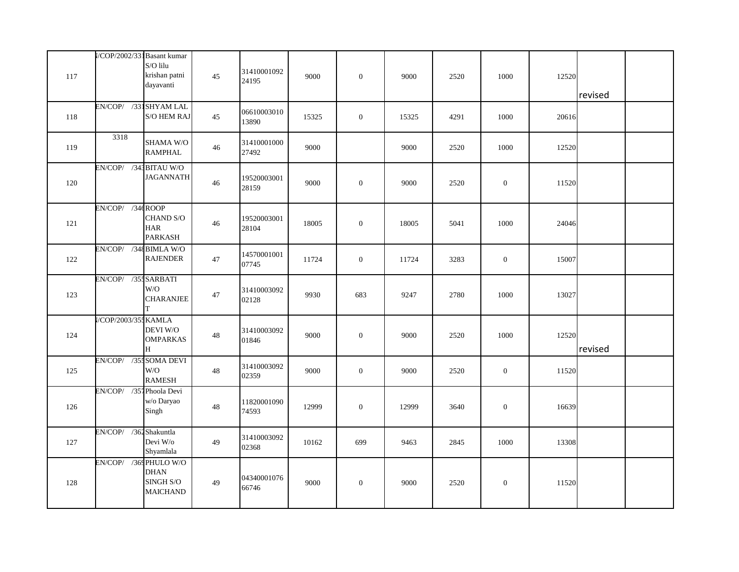| 117 | //COP/2002/331 Basant kumar | S/O lilu<br>krishan patni<br>dayavanti      | 45     | 31410001092<br>24195 | 9000  | $\mathbf{0}$     | 9000  | 2520 | 1000         | 12520 | revised |  |
|-----|-----------------------------|---------------------------------------------|--------|----------------------|-------|------------------|-------|------|--------------|-------|---------|--|
| 118 | EN/COP/ /331SHYAM LAL       | <b>S/O HEM RAJ</b>                          | 45     | 06610003010<br>13890 | 15325 | $\mathbf{0}$     | 15325 | 4291 | 1000         | 20616 |         |  |
| 119 | 3318                        | SHAMA W/O<br><b>RAMPHAL</b>                 | 46     | 31410001000<br>27492 | 9000  |                  | 9000  | 2520 | 1000         | 12520 |         |  |
| 120 | EN/COP/ /341 BITAU W/O      | <b>JAGANNATH</b>                            | 46     | 19520003001<br>28159 | 9000  | $\overline{0}$   | 9000  | 2520 | $\mathbf{0}$ | 11520 |         |  |
| 121 | EN/COP/ /34¢ROOP            | CHAND S/O<br><b>HAR</b><br><b>PARKASH</b>   | 46     | 19520003001<br>28104 | 18005 | $\mathbf{0}$     | 18005 | 5041 | 1000         | 24046 |         |  |
| 122 | EN/COP/ /348 BIMLA W/O      | <b>RAJENDER</b>                             | 47     | 14570001001<br>07745 | 11724 | $\mathbf{0}$     | 11724 | 3283 | $\mathbf{0}$ | 15007 |         |  |
| 123 | EN/COP/ /35: SARBATI        | W/O<br><b>CHARANJEE</b><br>T                | 47     | 31410003092<br>02128 | 9930  | 683              | 9247  | 2780 | 1000         | 13027 |         |  |
| 124 | //COP/2003/355 KAMLA        | <b>DEVI W/O</b><br><b>OMPARKAS</b><br>H     | $48\,$ | 31410003092<br>01846 | 9000  | $\boldsymbol{0}$ | 9000  | 2520 | 1000         | 12520 | revised |  |
| 125 | EN/COP/ /35: SOMA DEVI      | W/O<br><b>RAMESH</b>                        | 48     | 31410003092<br>02359 | 9000  | $\mathbf{0}$     | 9000  | 2520 | $\mathbf{0}$ | 11520 |         |  |
| 126 | EN/COP/ /351 Phoola Devi    | w/o Daryao<br>Singh                         | $48\,$ | 11820001090<br>74593 | 12999 | $\mathbf{0}$     | 12999 | 3640 | $\mathbf{0}$ | 16639 |         |  |
| 127 | EN/COP/ /362 Shakuntla      | Devi W/o<br>Shyamlala                       | 49     | 31410003092<br>02368 | 10162 | 699              | 9463  | 2845 | 1000         | 13308 |         |  |
| 128 | EN/COP/ /369 PHULO W/O      | <b>DHAN</b><br>SINGH S/O<br><b>MAICHAND</b> | 49     | 04340001076<br>66746 | 9000  | $\mathbf{0}$     | 9000  | 2520 | $\mathbf{0}$ | 11520 |         |  |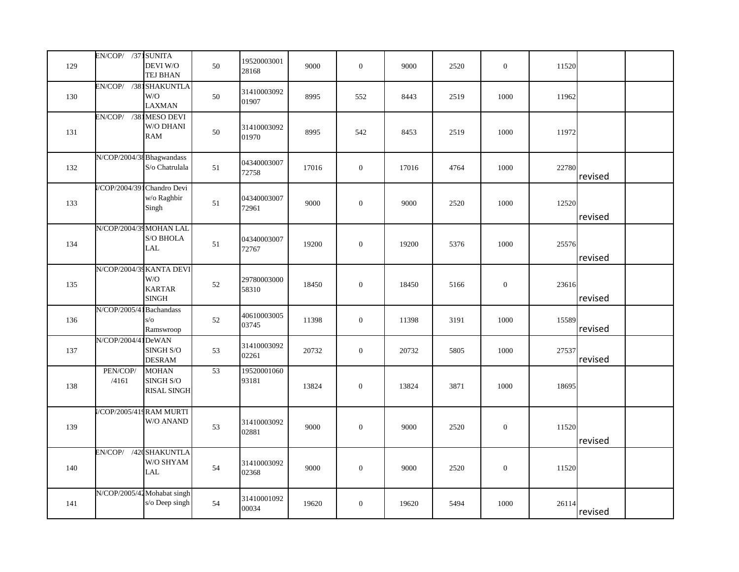| 129 | EN/COP/ /371 SUNITA         | DEVI W/O<br>TEJ BHAN                                             | 50              | 19520003001<br>28168 | 9000  | $\boldsymbol{0}$ | 9000  | 2520 | $\mathbf{0}$     | 11520 |         |  |
|-----|-----------------------------|------------------------------------------------------------------|-----------------|----------------------|-------|------------------|-------|------|------------------|-------|---------|--|
| 130 | EN/COP/ /381 SHAKUNTLA      | W/O<br><b>LAXMAN</b>                                             | 50              | 31410003092<br>01907 | 8995  | 552              | 8443  | 2519 | 1000             | 11962 |         |  |
| 131 | EN/COP/ /381MESO DEVI       | W/O DHANI<br><b>RAM</b>                                          | $50\,$          | 31410003092<br>01970 | 8995  | 542              | 8453  | 2519 | 1000             | 11972 |         |  |
| 132 | N/COP/2004/38 Bhagwandass   | S/o Chatrulala                                                   | 51              | 04340003007<br>72758 | 17016 | $\boldsymbol{0}$ | 17016 | 4764 | 1000             | 22780 | revised |  |
| 133 | //COP/2004/391 Chandro Devi | w/o Raghbir<br>Singh                                             | $51\,$          | 04340003007<br>72961 | 9000  | $\boldsymbol{0}$ | 9000  | 2520 | 1000             | 12520 | revised |  |
| 134 | N/COP/2004/39 MOHAN LAL     | $\mathrm{S}/\mathrm{O}$ BHOLA<br><b>LAL</b>                      | 51              | 04340003007<br>72767 | 19200 | $\mathbf{0}$     | 19200 | 5376 | 1000             | 25576 | revised |  |
| 135 |                             | N/COP/2004/39 KANTA DEVI<br>W/O<br><b>KARTAR</b><br><b>SINGH</b> | 52              | 29780003000<br>58310 | 18450 | $\boldsymbol{0}$ | 18450 | 5166 | $\boldsymbol{0}$ | 23616 | revised |  |
| 136 | N/COP/2005/4                | <b>Bachandass</b><br>$s/\sigma$<br>Ramswroop                     | 52              | 40610003005<br>03745 | 11398 | $\boldsymbol{0}$ | 11398 | 3191 | 1000             | 15589 | revised |  |
| 137 | N/COP/2004/41DeWAN          | SINGH <sub>S/O</sub><br><b>DESRAM</b>                            | 53              | 31410003092<br>02261 | 20732 | $\boldsymbol{0}$ | 20732 | 5805 | 1000             | 27537 | revised |  |
| 138 | PEN/COP/<br>/4161           | <b>MOHAN</b><br>SINGH S/O<br><b>RISAL SINGH</b>                  | $\overline{53}$ | 19520001060<br>93181 | 13824 | $\boldsymbol{0}$ | 13824 | 3871 | 1000             | 18695 |         |  |
| 139 |                             | //COP/2005/419 RAM MURTI<br>W/O ANAND                            | 53              | 31410003092<br>02881 | 9000  | $\boldsymbol{0}$ | 9000  | 2520 | $\boldsymbol{0}$ | 11520 | revised |  |
| 140 |                             | EN/COP/ /420 SHAKUNTLA<br>W/O SHYAM<br>LAL                       | 54              | 31410003092<br>02368 | 9000  | $\boldsymbol{0}$ | 9000  | 2520 | $\boldsymbol{0}$ | 11520 |         |  |
| 141 |                             | N/COP/2005/42 Mohabat singh<br>s/o Deep singh                    | 54              | 31410001092<br>00034 | 19620 | $\mathbf{0}$     | 19620 | 5494 | 1000             | 26114 | revised |  |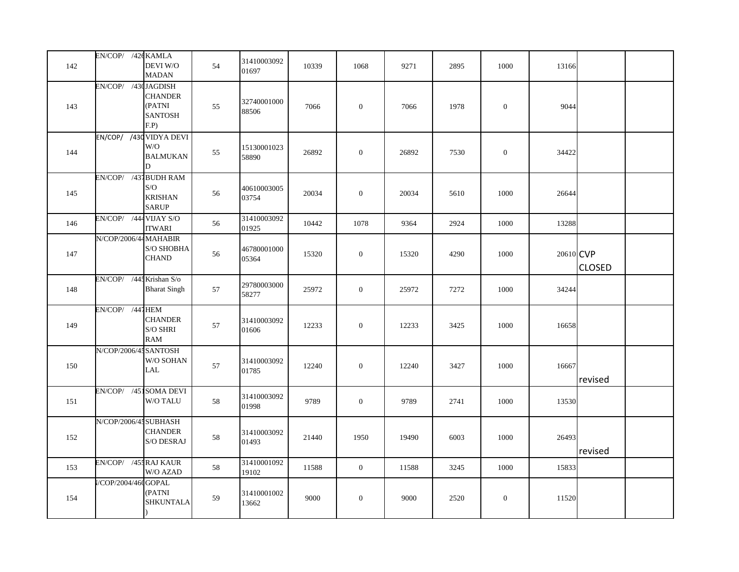| 142 | EN/COP/ /42tKAMLA           | <b>DEVI W/O</b><br><b>MADAN</b>                        | 54 | 31410003092<br>01697 | 10339 | 1068           | 9271  | 2895 | 1000             | 13166     |               |
|-----|-----------------------------|--------------------------------------------------------|----|----------------------|-------|----------------|-------|------|------------------|-----------|---------------|
| 143 | EN/COP/ /430 JAGDISH        | <b>CHANDER</b><br>(PATNI<br><b>SANTOSH</b><br>F.P)     | 55 | 32740001000<br>88506 | 7066  | $\mathbf{0}$   | 7066  | 1978 | $\theta$         | 9044      |               |
| 144 |                             | EN/COP/ /430 VIDYA DEVI<br>W/O<br><b>BALMUKAN</b><br>D | 55 | 15130001023<br>58890 | 26892 | $\mathbf{0}$   | 26892 | 7530 | $\boldsymbol{0}$ | 34422     |               |
| 145 | EN/COP/ /431 BUDH RAM       | S/O<br><b>KRISHAN</b><br><b>SARUP</b>                  | 56 | 40610003005<br>03754 | 20034 | $\mathbf{0}$   | 20034 | 5610 | 1000             | 26644     |               |
| 146 | EN/COP/ /444 VIJAY S/O      | <b>ITWARI</b>                                          | 56 | 31410003092<br>01925 | 10442 | 1078           | 9364  | 2924 | 1000             | 13288     |               |
| 147 | N/COP/2006/44 MAHABIR       | S/O SHOBHA<br><b>CHAND</b>                             | 56 | 46780001000<br>05364 | 15320 | $\mathbf{0}$   | 15320 | 4290 | 1000             | 20610 CVP | <b>CLOSED</b> |
| 148 | EN/COP/ /445 Krishan S/o    | <b>Bharat Singh</b>                                    | 57 | 29780003000<br>58277 | 25972 | $\overline{0}$ | 25972 | 7272 | 1000             | 34244     |               |
| 149 | $EN/COP/$ /441 HEM          | <b>CHANDER</b><br>S/O SHRI<br><b>RAM</b>               | 57 | 31410003092<br>01606 | 12233 | $\overline{0}$ | 12233 | 3425 | 1000             | 16658     |               |
| 150 | N/COP/2006/45 SANTOSH       | W/O SOHAN<br>LAL                                       | 57 | 31410003092<br>01785 | 12240 | $\overline{0}$ | 12240 | 3427 | 1000             | 16667     | revised       |
| 151 | EN/COP/ /451 SOMA DEVI      | W/O TALU                                               | 58 | 31410003092<br>01998 | 9789  | $\overline{0}$ | 9789  | 2741 | 1000             | 13530     |               |
| 152 | N/COP/2006/45 SUBHASH       | <b>CHANDER</b><br><b>S/O DESRAJ</b>                    | 58 | 31410003092<br>01493 | 21440 | 1950           | 19490 | 6003 | 1000             | 26493     | revised       |
| 153 | EN/COP/ /45: RAJ KAUR       | W/O AZAD                                               | 58 | 31410001092<br>19102 | 11588 | $\overline{0}$ | 11588 | 3245 | 1000             | 15833     |               |
| 154 | <b>I/COP/2004/460 GOPAL</b> | (PATNI<br><b>SHKUNTALA</b>                             | 59 | 31410001002<br>13662 | 9000  | $\mathbf{0}$   | 9000  | 2520 | $\mathbf{0}$     | 11520     |               |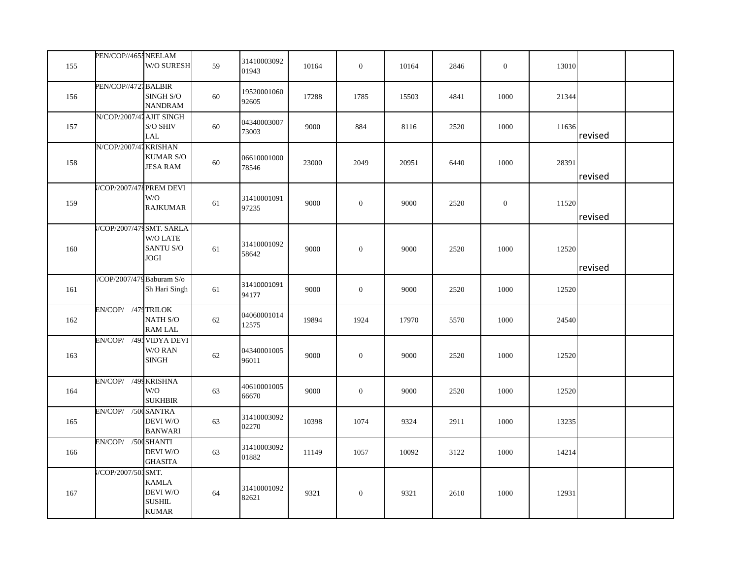| 155 | PEN/COP//465: NEELAM      | W/O SURESH                                                | 59     | 31410003092<br>01943 | 10164 | $\mathbf{0}$     | 10164 | 2846 | $\overline{0}$ | 13010 |         |  |
|-----|---------------------------|-----------------------------------------------------------|--------|----------------------|-------|------------------|-------|------|----------------|-------|---------|--|
| 156 | PEN/COP//4721BALBIR       | SINGH S/O<br><b>NANDRAM</b>                               | 60     | 19520001060<br>92605 | 17288 | 1785             | 15503 | 4841 | 1000           | 21344 |         |  |
| 157 | N/COP/2007/47 AJIT SINGH  | S/O SHIV<br>LAL                                           | 60     | 04340003007<br>73003 | 9000  | 884              | 8116  | 2520 | 1000           | 11636 | revised |  |
| 158 | N/COP/2007/47 KRISHAN     | <b>KUMAR S/O</b><br>JESA RAM                              | 60     | 06610001000<br>78546 | 23000 | 2049             | 20951 | 6440 | 1000           | 28391 | revised |  |
| 159 | /COP/2007/478 PREM DEVI   | W/O<br><b>RAJKUMAR</b>                                    | 61     | 31410001091<br>97235 | 9000  | $\boldsymbol{0}$ | 9000  | 2520 | $\overline{0}$ | 11520 | revised |  |
| 160 | /COP/2007/47 SMT. SARLA   | W/O LATE<br>SANTU S/O<br>JOGI                             | 61     | 31410001092<br>58642 | 9000  | $\mathbf{0}$     | 9000  | 2520 | 1000           | 12520 | revised |  |
| 161 | /COP/2007/479 Baburam S/o | Sh Hari Singh                                             | 61     | 31410001091<br>94177 | 9000  | $\boldsymbol{0}$ | 9000  | 2520 | 1000           | 12520 |         |  |
| 162 | EN/COP/ /479 TRILOK       | NATH S/O<br><b>RAM LAL</b>                                | 62     | 04060001014<br>12575 | 19894 | 1924             | 17970 | 5570 | 1000           | 24540 |         |  |
| 163 | EN/COP/ /495 VIDYA DEVI   | W/O RAN<br><b>SINGH</b>                                   | $62\,$ | 04340001005<br>96011 | 9000  | $\boldsymbol{0}$ | 9000  | 2520 | 1000           | 12520 |         |  |
| 164 | EN/COP/ /499 KRISHNA      | W/O<br><b>SUKHBIR</b>                                     | 63     | 40610001005<br>66670 | 9000  | $\mathbf{0}$     | 9000  | 2520 | 1000           | 12520 |         |  |
| 165 | EN/COP/ /500 SANTRA       | DEVI W/O<br><b>BANWARI</b>                                | 63     | 31410003092<br>02270 | 10398 | 1074             | 9324  | 2911 | 1000           | 13235 |         |  |
| 166 | EN/COP/ /500 SHANTI       | DEVI W/O<br><b>GHASITA</b>                                | 63     | 31410003092<br>01882 | 11149 | 1057             | 10092 | 3122 | 1000           | 14214 |         |  |
| 167 | //COP/2007/503 SMT.       | <b>KAMLA</b><br>DEVI W/O<br><b>SUSHIL</b><br><b>KUMAR</b> | 64     | 31410001092<br>82621 | 9321  | $\boldsymbol{0}$ | 9321  | 2610 | 1000           | 12931 |         |  |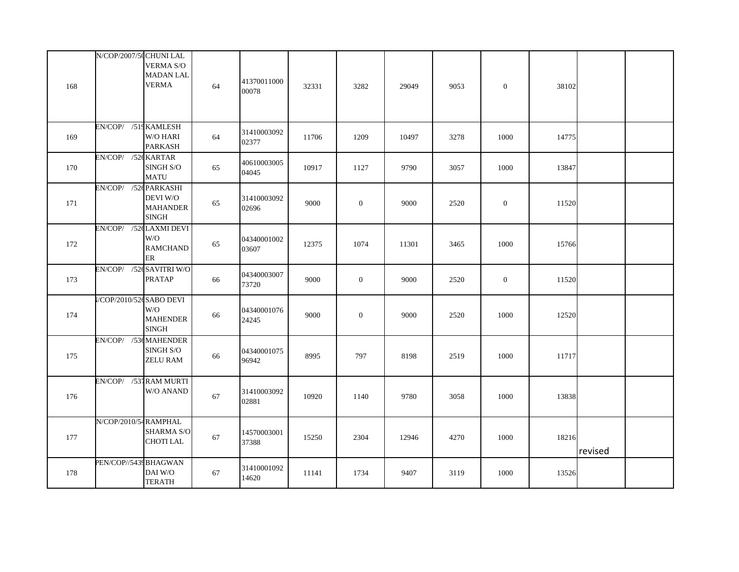| 168 | N/COP/2007/5(CHUNI LAL          | <b>VERMA S/O</b><br><b>MADAN LAL</b><br><b>VERMA</b>                        | 64 | 41370011000<br>00078 | 32331 | 3282             | 29049 | 9053 | $\boldsymbol{0}$ | 38102 |         |  |
|-----|---------------------------------|-----------------------------------------------------------------------------|----|----------------------|-------|------------------|-------|------|------------------|-------|---------|--|
| 169 | EN/COP/ /519 KAMLESH            | W/O HARI<br><b>PARKASH</b>                                                  | 64 | 31410003092<br>02377 | 11706 | 1209             | 10497 | 3278 | 1000             | 14775 |         |  |
| 170 | EN/COP/ /526 KARTAR             | SINGH S/O<br><b>MATU</b>                                                    | 65 | 40610003005<br>04045 | 10917 | 1127             | 9790  | 3057 | 1000             | 13847 |         |  |
| 171 | EN/COP/ /52¢PARKASHI            | <b>DEVI W/O</b><br><b>MAHANDER</b><br>$\mathbf{SINGH}$                      | 65 | 31410003092<br>02696 | 9000  | $\boldsymbol{0}$ | 9000  | 2520 | $\mathbf{0}$     | 11520 |         |  |
| 172 | EN/COP/ /52¢LAXMI DEVI          | W/O<br><b>RAMCHAND</b><br>ER                                                | 65 | 04340001002<br>03607 | 12375 | 1074             | 11301 | 3465 | 1000             | 15766 |         |  |
| 173 | EN/COP/ /52(SAVITRI W/O         | <b>PRATAP</b>                                                               | 66 | 04340003007<br>73720 | 9000  | $\mathbf{0}$     | 9000  | 2520 | $\mathbf{0}$     | 11520 |         |  |
| 174 | <b>I/COP/2010/52¢ SABO DEVI</b> | W/O<br><b>MAHENDER</b><br>$\operatorname{SINGH}$                            | 66 | 04340001076<br>24245 | 9000  | $\boldsymbol{0}$ | 9000  | 2520 | 1000             | 12520 |         |  |
| 175 | EN/COP/ /53¢MAHENDER            | SINGH S/O<br><b>ZELU RAM</b>                                                | 66 | 04340001075<br>96942 | 8995  | 797              | 8198  | 2519 | 1000             | 11717 |         |  |
| 176 | EN/COP/ /531 RAM MURTI          | W/O ANAND                                                                   | 67 | 31410003092<br>02881 | 10920 | 1140             | 9780  | 3058 | 1000             | 13838 |         |  |
| 177 | N/COP/2010/54 RAMPHAL           | <b>SHARMA S/O</b><br><b>CHOTILAL</b>                                        | 67 | 14570003001<br>37388 | 15250 | 2304             | 12946 | 4270 | 1000             | 18216 | revised |  |
| 178 | PEN/COP//5439 BHAGWAN           | $\mathop{\rm DAI}\nolimits{\mathop{\rm W}\nolimits\!/\!O}$<br><b>TERATH</b> | 67 | 31410001092<br>14620 | 11141 | 1734             | 9407  | 3119 | 1000             | 13526 |         |  |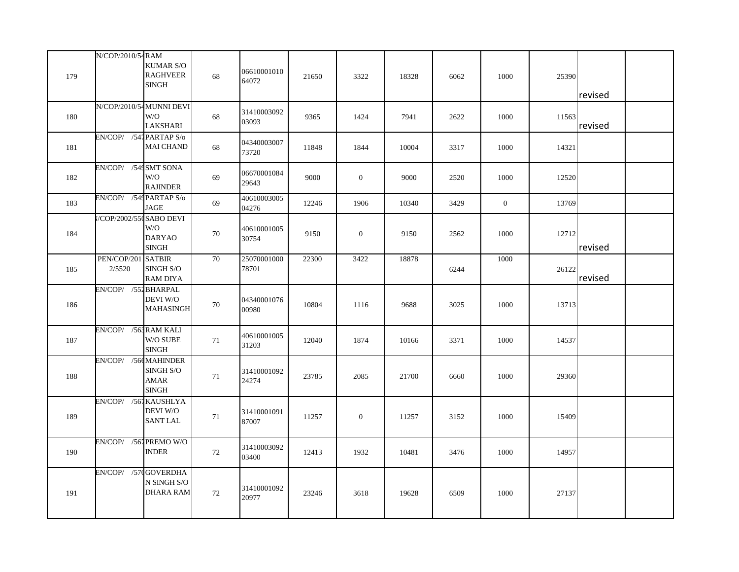|     | N/COP/2010/54 RAM       |                                               |    |                      |       |                  |       |      |                |       |         |  |
|-----|-------------------------|-----------------------------------------------|----|----------------------|-------|------------------|-------|------|----------------|-------|---------|--|
| 179 |                         | <b>KUMAR S/O</b><br><b>RAGHVEER</b><br>SINGH  | 68 | 06610001010<br>64072 | 21650 | 3322             | 18328 | 6062 | 1000           | 25390 | revised |  |
|     |                         |                                               |    |                      |       |                  |       |      |                |       |         |  |
| 180 |                         | N/COP/2010/54 MUNNI DEVI<br>W/O<br>LAKSHARI   | 68 | 31410003092<br>03093 | 9365  | 1424             | 7941  | 2622 | 1000           | 11563 | revised |  |
| 181 | EN/COP/ /541 PARTAP S/o | <b>MAI CHAND</b>                              | 68 | 04340003007<br>73720 | 11848 | 1844             | 10004 | 3317 | 1000           | 14321 |         |  |
| 182 | EN/COP/ /549 SMT SONA   | W/O<br><b>RAJINDER</b>                        | 69 | 06670001084<br>29643 | 9000  | $\boldsymbol{0}$ | 9000  | 2520 | 1000           | 12520 |         |  |
| 183 | EN/COP/ /549 PARTAP S/o | JAGE                                          | 69 | 40610003005<br>04276 | 12246 | 1906             | 10340 | 3429 | $\overline{0}$ | 13769 |         |  |
| 184 | //COP/2002/55 SABO DEVI | W/O<br><b>DARYAO</b><br><b>SINGH</b>          | 70 | 40610001005<br>30754 | 9150  | $\mathbf{0}$     | 9150  | 2562 | 1000           | 12712 | revised |  |
| 185 | PEN/COP/201<br>2/5520   | <b>SATBIR</b><br>SINGH S/O<br><b>RAM DIYA</b> | 70 | 25070001000<br>78701 | 22300 | 3422             | 18878 | 6244 | 1000           | 26122 | revised |  |
| 186 | EN/COP/ /551 BHARPAL    | DEVI W/O<br><b>MAHASINGH</b>                  | 70 | 04340001076<br>00980 | 10804 | 1116             | 9688  | 3025 | 1000           | 13713 |         |  |
| 187 | EN/COP/ /563 RAM KALI   | W/O SUBE<br><b>SINGH</b>                      | 71 | 40610001005<br>31203 | 12040 | 1874             | 10166 | 3371 | 1000           | 14537 |         |  |
| 188 | EN/COP/ /566 MAHINDER   | SINGH S/O<br>AMAR<br><b>SINGH</b>             | 71 | 31410001092<br>24274 | 23785 | 2085             | 21700 | 6660 | 1000           | 29360 |         |  |
| 189 | EN/COP/ /561 KAUSHLYA   | DEVI W/O<br><b>SANT LAL</b>                   | 71 | 31410001091<br>87007 | 11257 | $\mathbf{0}$     | 11257 | 3152 | 1000           | 15409 |         |  |
| 190 | EN/COP/ /561PREMO W/O   | <b>INDER</b>                                  | 72 | 31410003092<br>03400 | 12413 | 1932             | 10481 | 3476 | 1000           | 14957 |         |  |
| 191 | EN/COP/ /570 GOVERDHA   | N SINGH S/O<br><b>DHARA RAM</b>               | 72 | 31410001092<br>20977 | 23246 | 3618             | 19628 | 6509 | 1000           | 27137 |         |  |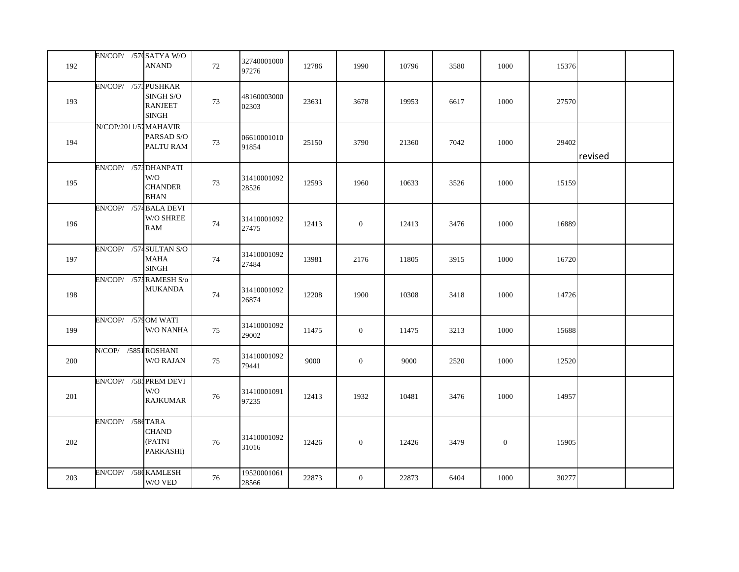| 192 | EN/COP/ /57(SATYA W/O   | <b>ANAND</b>                                | 72 | 32740001000<br>97276 | 12786 | 1990           | 10796 | 3580 | 1000             | 15376 |         |  |
|-----|-------------------------|---------------------------------------------|----|----------------------|-------|----------------|-------|------|------------------|-------|---------|--|
| 193 | EN/COP/ /573 PUSHKAR    | SINGH S/O<br><b>RANJEET</b><br><b>SINGH</b> | 73 | 48160003000<br>02303 | 23631 | 3678           | 19953 | 6617 | 1000             | 27570 |         |  |
| 194 | N/COP/2011/57 MAHAVIR   | PARSAD S/O<br>PALTU RAM                     | 73 | 06610001010<br>91854 | 25150 | 3790           | 21360 | 7042 | 1000             | 29402 | revised |  |
| 195 | EN/COP/ /571 DHANPATI   | W/O<br><b>CHANDER</b><br><b>BHAN</b>        | 73 | 31410001092<br>28526 | 12593 | 1960           | 10633 | 3526 | 1000             | 15159 |         |  |
| 196 | EN/COP/ /574 BALA DEVI  | W/O SHREE<br><b>RAM</b>                     | 74 | 31410001092<br>27475 | 12413 | $\overline{0}$ | 12413 | 3476 | 1000             | 16889 |         |  |
| 197 | EN/COP/ /574 SULTAN S/O | <b>MAHA</b><br><b>SINGH</b>                 | 74 | 31410001092<br>27484 | 13981 | 2176           | 11805 | 3915 | 1000             | 16720 |         |  |
| 198 | EN/COP/ /57: RAMESH S/o | <b>MUKANDA</b>                              | 74 | 31410001092<br>26874 | 12208 | 1900           | 10308 | 3418 | 1000             | 14726 |         |  |
| 199 | EN/COP/ /579 OM WATI    | W/O NANHA                                   | 75 | 31410001092<br>29002 | 11475 | $\mathbf{0}$   | 11475 | 3213 | 1000             | 15688 |         |  |
| 200 | N/COP/ /5851ROSHANI     | W/O RAJAN                                   | 75 | 31410001092<br>79441 | 9000  | $\mathbf{0}$   | 9000  | 2520 | 1000             | 12520 |         |  |
| 201 | EN/COP/ /58: PREM DEVI  | W/O<br><b>RAJKUMAR</b>                      | 76 | 31410001091<br>97235 | 12413 | 1932           | 10481 | 3476 | 1000             | 14957 |         |  |
| 202 | EN/COP/ /586 TARA       | <b>CHAND</b><br>(PATNI<br>PARKASHI)         | 76 | 31410001092<br>31016 | 12426 | $\mathbf{0}$   | 12426 | 3479 | $\boldsymbol{0}$ | 15905 |         |  |
| 203 | EN/COP/ /58¢ KAMLESH    | W/O VED                                     | 76 | 19520001061<br>28566 | 22873 | $\mathbf{0}$   | 22873 | 6404 | 1000             | 30277 |         |  |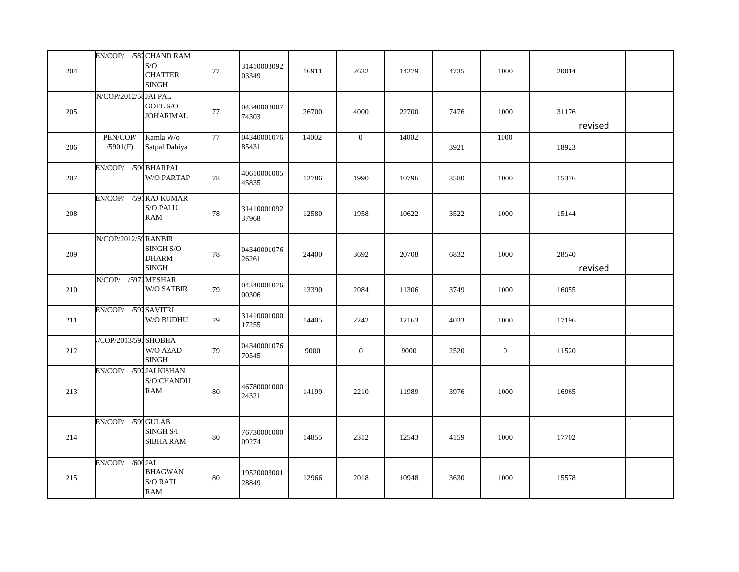|     |                         | EN/COP/ /581 CHAND RAM                |        |                      |       |              |       |      |              |       |         |  |
|-----|-------------------------|---------------------------------------|--------|----------------------|-------|--------------|-------|------|--------------|-------|---------|--|
| 204 |                         | S/O<br><b>CHATTER</b><br><b>SINGH</b> | $77\,$ | 31410003092<br>03349 | 16911 | 2632         | 14279 | 4735 | 1000         | 20014 |         |  |
|     | N/COP/2012/58 JAI PAL   |                                       |        |                      |       |              |       |      |              |       |         |  |
| 205 |                         | GOEL S/O                              | 77     | 04340003007          | 26700 | 4000         | 22700 | 7476 | 1000         | 31176 |         |  |
|     |                         | <b>JOHARIMAL</b>                      |        | 74303                |       |              |       |      |              |       |         |  |
|     |                         |                                       |        |                      |       |              |       |      |              |       | revised |  |
|     | PEN/COP/                | Kamla W/o                             | 77     | 04340001076          | 14002 | $\mathbf{0}$ | 14002 |      | 1000         |       |         |  |
| 206 | /5901(F)                | Satpal Dahiya                         |        | 85431                |       |              |       | 3921 |              | 18923 |         |  |
|     | EN/COP/ /59(BHARPAI     |                                       |        |                      |       |              |       |      |              |       |         |  |
| 207 |                         | W/O PARTAP                            | $78\,$ | 40610001005          | 12786 | 1990         | 10796 | 3580 | 1000         | 15376 |         |  |
|     |                         |                                       |        | 45835                |       |              |       |      |              |       |         |  |
|     | EN/COP/ /591 RAJ KUMAR  |                                       |        |                      |       |              |       |      |              |       |         |  |
|     |                         | <b>S/O PALU</b>                       |        | 31410001092          |       |              |       |      |              |       |         |  |
| 208 |                         | <b>RAM</b>                            | 78     | 37968                | 12580 | 1958         | 10622 | 3522 | 1000         | 15144 |         |  |
|     |                         |                                       |        |                      |       |              |       |      |              |       |         |  |
|     | N/COP/2012/59 RANBIR    |                                       |        |                      |       |              |       |      |              |       |         |  |
|     |                         | SINGH S/O                             |        | 04340001076          |       |              |       |      |              |       |         |  |
| 209 |                         | <b>DHARM</b>                          | 78     | 26261                | 24400 | 3692         | 20708 | 6832 | 1000         | 28540 |         |  |
|     |                         | <b>SINGH</b>                          |        |                      |       |              |       |      |              |       | revised |  |
|     | N/COP/ /5971 MESHAR     |                                       |        | 04340001076          |       |              |       |      |              |       |         |  |
| 210 |                         | W/O SATBIR                            | 79     | 00306                | 13390 | 2084         | 11306 | 3749 | 1000         | 16055 |         |  |
|     |                         |                                       |        |                      |       |              |       |      |              |       |         |  |
|     | EN/COP/ /591 SAVITRI    |                                       |        | 31410001000          |       |              |       |      |              |       |         |  |
| 211 |                         | W/O BUDHU                             | 79     | 17255                | 14405 | 2242         | 12163 | 4033 | 1000         | 17196 |         |  |
|     |                         |                                       |        |                      |       |              |       |      |              |       |         |  |
|     | //COP/2013/597 SHOBHA   |                                       |        | 04340001076          |       |              |       |      |              |       |         |  |
| 212 |                         | W/O AZAD<br><b>SINGH</b>              | 79     | 70545                | 9000  | $\mathbf{0}$ | 9000  | 2520 | $\mathbf{0}$ | 11520 |         |  |
|     | EN/COP/ /591 JAI KISHAN |                                       |        |                      |       |              |       |      |              |       |         |  |
|     |                         | <b>S/O CHANDU</b>                     |        |                      |       |              |       |      |              |       |         |  |
| 213 |                         | <b>RAM</b>                            | $80\,$ | 46780001000          | 14199 | 2210         | 11989 | 3976 | 1000         | 16965 |         |  |
|     |                         |                                       |        | 24321                |       |              |       |      |              |       |         |  |
|     |                         |                                       |        |                      |       |              |       |      |              |       |         |  |
|     | EN/COP/ /599 GULAB      |                                       |        |                      |       |              |       |      |              |       |         |  |
|     |                         | SINGH <sub>S/I</sub>                  |        | 76730001000          |       |              |       |      |              |       |         |  |
| 214 |                         | SIBHA RAM                             | $80\,$ | 09274                | 14855 | 2312         | 12543 | 4159 | 1000         | 17702 |         |  |
|     |                         |                                       |        |                      |       |              |       |      |              |       |         |  |
|     | $EN/COP/$ /60(JAI       |                                       |        |                      |       |              |       |      |              |       |         |  |
| 215 |                         | <b>BHAGWAN</b>                        | $80\,$ | 19520003001          | 12966 | 2018         | 10948 | 3630 | 1000         | 15578 |         |  |
|     |                         | $\mathrm{S}/\mathrm{O}$ RATI          |        | 28849                |       |              |       |      |              |       |         |  |
|     |                         | RAM                                   |        |                      |       |              |       |      |              |       |         |  |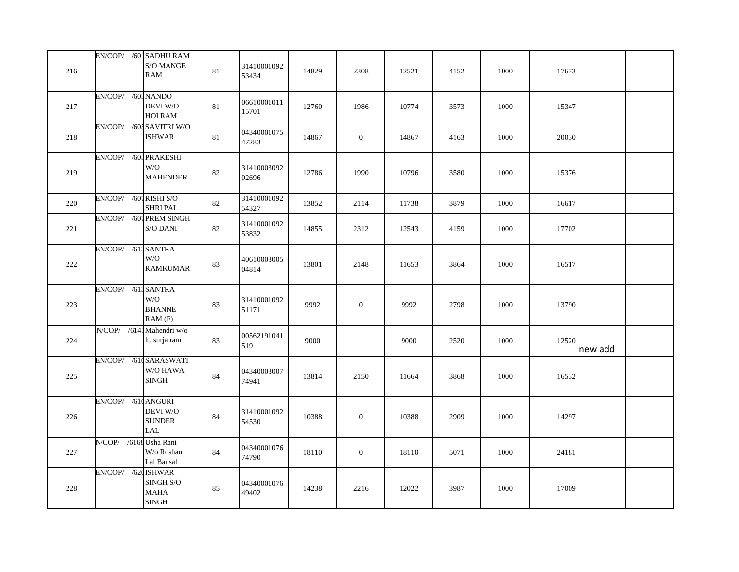| 216 |                           | EN/COP/ /601 SADHU RAM<br>$\mathrm{S}/\mathrm{O}$ MANGE<br>RAM           | $81\,$ | 31410001092          | 14829 | 2308             | 12521 | 4152 | 1000 | 17673 |         |  |
|-----|---------------------------|--------------------------------------------------------------------------|--------|----------------------|-------|------------------|-------|------|------|-------|---------|--|
|     |                           |                                                                          |        | 53434                |       |                  |       |      |      |       |         |  |
| 217 | EN/COP/ /603 NANDO        | DEVI W/O<br>HOI RAM                                                      | 81     | 06610001011<br>15701 | 12760 | 1986             | 10774 | 3573 | 1000 | 15347 |         |  |
| 218 |                           | EN/COP/ /60: SAVITRI W/O<br><b>ISHWAR</b>                                | 81     | 04340001075<br>47283 | 14867 | $\mathbf{0}$     | 14867 | 4163 | 1000 | 20030 |         |  |
| 219 | EN/COP/ /60; PRAKESHI     | W/O<br><b>MAHENDER</b>                                                   | 82     | 31410003092<br>02696 | 12786 | 1990             | 10796 | 3580 | 1000 | 15376 |         |  |
| 220 | EN/COP/ /601 RISHI S/O    | SHRI PAL                                                                 | 82     | 31410001092<br>54327 | 13852 | 2114             | 11738 | 3879 | 1000 | 16617 |         |  |
| 221 |                           | EN/COP/ /607 PREM SINGH<br>$\mathrm{S}/\mathrm{O}$ DANI                  | 82     | 31410001092<br>53832 | 14855 | 2312             | 12543 | 4159 | 1000 | 17702 |         |  |
| 222 | EN/COP/ /612 SANTRA       | W/O<br><b>RAMKUMAR</b>                                                   | 83     | 40610003005<br>04814 | 13801 | 2148             | 11653 | 3864 | 1000 | 16517 |         |  |
| 223 | EN/COP/ /61; SANTRA       | W/O<br><b>BHANNE</b><br>RAM(F)                                           | 83     | 31410001092<br>51171 | 9992  | $\mathbf{0}$     | 9992  | 2798 | 1000 | 13790 |         |  |
| 224 | N/COP/ /6145 Mahendri w/o | lt. surja ram                                                            | 83     | 00562191041<br>519   | 9000  |                  | 9000  | 2520 | 1000 | 12520 | new add |  |
| 225 | EN/COP/ /61tSARASWATI     | W/O HAWA<br><b>SINGH</b>                                                 | 84     | 04340003007<br>74941 | 13814 | 2150             | 11664 | 3868 | 1000 | 16532 |         |  |
| 226 | EN/COP/ /61t ANGURI       | DEVI W/O<br><b>SUNDER</b><br>$\ensuremath{\text{LAL}}$                   | 84     | 31410001092<br>54530 | 10388 | $\boldsymbol{0}$ | 10388 | 2909 | 1000 | 14297 |         |  |
| 227 | N/COP/ /6168 Usha Rani    | W/o Roshan<br>Lal Bansal                                                 | 84     | 04340001076<br>74790 | 18110 | $\mathbf{0}$     | 18110 | 5071 | 1000 | 24181 |         |  |
| 228 | EN/COP/ /62(ISHWAR        | $\mathbf{SINGH}$ $\mathbf{S/O}$<br><b>MAHA</b><br>$\operatorname{SINGH}$ | 85     | 04340001076<br>49402 | 14238 | 2216             | 12022 | 3987 | 1000 | 17009 |         |  |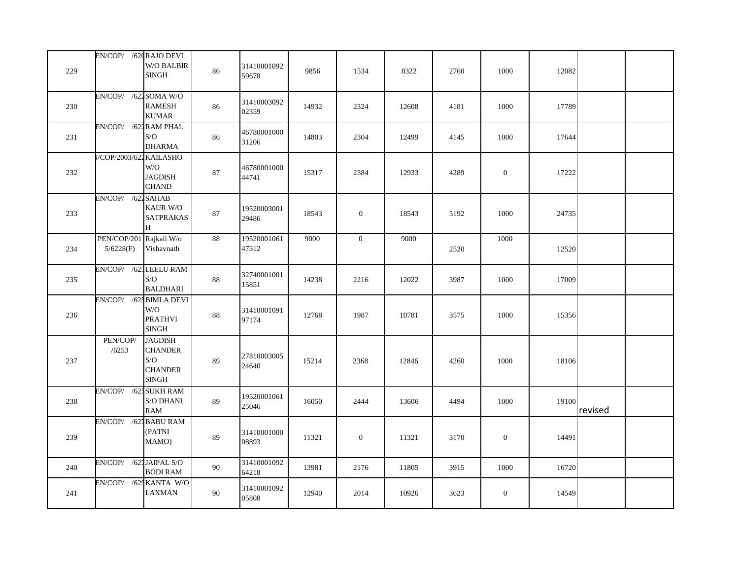| 229 | EN/COP/ /62(RAJO DEVI    | W/O BALBIR<br><b>SINGH</b>                                                | 86     | 31410001092<br>59678 | 9856  | 1534             | 8322  | 2760 | 1000         | 12082 |         |  |
|-----|--------------------------|---------------------------------------------------------------------------|--------|----------------------|-------|------------------|-------|------|--------------|-------|---------|--|
| 230 | EN/COP/ /622             | SOMA W/O<br><b>RAMESH</b><br><b>KUMAR</b>                                 | 86     | 31410003092<br>02359 | 14932 | 2324             | 12608 | 4181 | 1000         | 17789 |         |  |
| 231 | EN/COP/ /622 RAM PHAL    | S/O<br><b>DHARMA</b>                                                      | 86     | 46780001000<br>31206 | 14803 | 2304             | 12499 | 4145 | 1000         | 17644 |         |  |
| 232 | /COP/2003/622 KAILASHO   | W/O<br><b>JAGDISH</b><br><b>CHAND</b>                                     | $87\,$ | 46780001000<br>44741 | 15317 | 2384             | 12933 | 4289 | $\mathbf{0}$ | 17222 |         |  |
| 233 | EN/COP/ /622 SAHAB       | KAUR W/O<br><b>SATPRAKAS</b><br>H                                         | $87\,$ | 19520003001<br>29486 | 18543 | $\boldsymbol{0}$ | 18543 | 5192 | 1000         | 24735 |         |  |
| 234 | PEN/COP/201<br>5/6228(F) | Rajkali W/o<br>Vishavnath                                                 | 88     | 19520001061<br>47312 | 9000  | $\mathbf{0}$     | 9000  | 2520 | 1000         | 12520 |         |  |
| 235 | EN/COP/ /623 LEELU RAM   | S/O<br><b>BALDHARI</b>                                                    | 88     | 32740001001<br>15851 | 14238 | 2216             | 12022 | 3987 | 1000         | 17009 |         |  |
| 236 | EN/COP/ /62. BIMLA DEVI  | W/O<br><b>PRATHVI</b><br><b>SINGH</b>                                     | $88\,$ | 31410001091<br>97174 | 12768 | 1987             | 10781 | 3575 | 1000         | 15356 |         |  |
| 237 | PEN/COP/<br>/6253        | <b>JAGDISH</b><br><b>CHANDER</b><br>S/O<br><b>CHANDER</b><br><b>SINGH</b> | 89     | 27810003005<br>24640 | 15214 | 2368             | 12846 | 4260 | 1000         | 18106 |         |  |
| 238 | EN/COP/ /625 SUKH RAM    | $\mathbf{S}/\mathbf{O}$ DHANI<br>RAM                                      | $89\,$ | 19520001061<br>25046 | 16050 | 2444             | 13606 | 4494 | 1000         | 19100 | revised |  |
| 239 | EN/COP/ /627             | <b>BABU RAM</b><br>(PATNI<br>MAMO)                                        | 89     | 31410001000<br>08893 | 11321 | $\boldsymbol{0}$ | 11321 | 3170 | $\mathbf{0}$ | 14491 |         |  |
| 240 | EN/COP/ /621 JAIPAL S/O  | <b>BODI RAM</b>                                                           | 90     | 31410001092<br>64218 | 13981 | 2176             | 11805 | 3915 | 1000         | 16720 |         |  |
| 241 | EN/COP/ /629 KANTA W/O   | LAXMAN                                                                    | 90     | 31410001092<br>05808 | 12940 | 2014             | 10926 | 3623 | $\mathbf{0}$ | 14549 |         |  |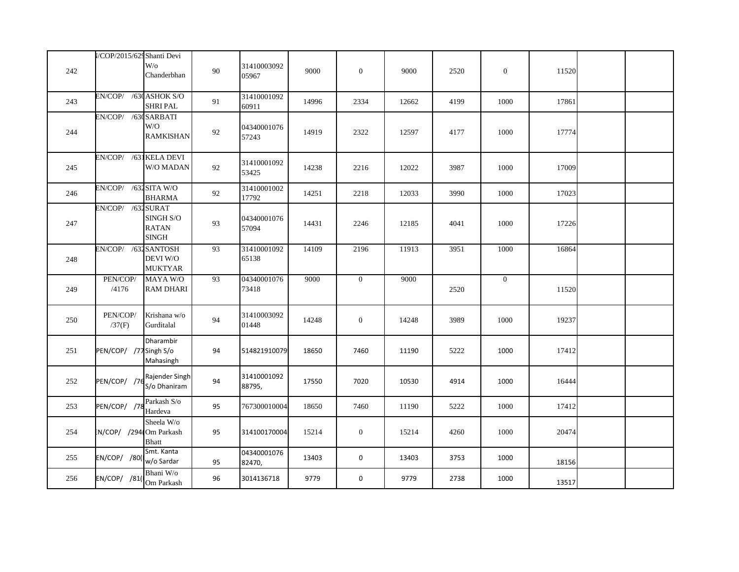|     | I/COP/2015/629 Shanti Devi |                                                     |    |                       |       |                  |       |      |                  |       |  |
|-----|----------------------------|-----------------------------------------------------|----|-----------------------|-------|------------------|-------|------|------------------|-------|--|
| 242 |                            | $W$ /0<br>Chanderbhan                               | 90 | 31410003092<br>05967  | 9000  | $\boldsymbol{0}$ | 9000  | 2520 | $\boldsymbol{0}$ | 11520 |  |
| 243 | EN/COP/ /63(ASHOK S/O      | SHRI PAL                                            | 91 | 31410001092<br>60911  | 14996 | 2334             | 12662 | 4199 | 1000             | 17861 |  |
| 244 | EN/COP/ /630 SARBATI       | W/O<br><b>RAMKISHAN</b>                             | 92 | 04340001076<br>57243  | 14919 | 2322             | 12597 | 4177 | 1000             | 17774 |  |
| 245 | EN/COP/ /631 KELA DEVI     | W/O MADAN                                           | 92 | 31410001092<br>53425  | 14238 | 2216             | 12022 | 3987 | 1000             | 17009 |  |
| 246 | EN/COP/ /632 SITA W/O      | <b>BHARMA</b>                                       | 92 | 31410001002<br>17792  | 14251 | 2218             | 12033 | 3990 | 1000             | 17023 |  |
| 247 | EN/COP/ /631 SURAT         | SINGH S/O<br><b>RATAN</b><br>$\operatorname{SINGH}$ | 93 | 04340001076<br>57094  | 14431 | 2246             | 12185 | 4041 | 1000             | 17226 |  |
| 248 | EN/COP/ /632 SANTOSH       | DEVI W/O<br><b>MUKTYAR</b>                          | 93 | 31410001092<br>65138  | 14109 | 2196             | 11913 | 3951 | 1000             | 16864 |  |
| 249 | PEN/COP/<br>/4176          | MAYA W/O<br><b>RAM DHARI</b>                        | 93 | 04340001076<br>73418  | 9000  | $\overline{0}$   | 9000  | 2520 | $\mathbf{0}$     | 11520 |  |
| 250 | PEN/COP/<br>/37(F)         | Krishana w/o<br>Gurditalal                          | 94 | 31410003092<br>01448  | 14248 | $\mathbf{0}$     | 14248 | 3989 | 1000             | 19237 |  |
| 251 | PEN/COP/ /77 Singh S/o     | Dharambir<br>Mahasingh                              | 94 | 514821910079          | 18650 | 7460             | 11190 | 5222 | 1000             | 17412 |  |
| 252 | PEN/COP/ /76               | Rajender Singh<br>S/o Dhaniram                      | 94 | 31410001092<br>88795, | 17550 | 7020             | 10530 | 4914 | 1000             | 16444 |  |
| 253 | PEN/COP/ /7                | Parkash S/o<br>Hardeva                              | 95 | 767300010004          | 18650 | 7460             | 11190 | 5222 | 1000             | 17412 |  |
| 254 | N/COP/ /294 Om Parkash     | Sheela W/o<br>Bhatt                                 | 95 | 314100170004          | 15214 | $\boldsymbol{0}$ | 15214 | 4260 | 1000             | 20474 |  |
| 255 | EN/COP/ /80(               | Smt. Kanta<br>w/o Sardar                            | 95 | 04340001076<br>82470, | 13403 | $\mathbf 0$      | 13403 | 3753 | 1000             | 18156 |  |
| 256 | EN/COP/ /81                | Bhani $\hbox{W/o}$<br>Om Parkash                    | 96 | 3014136718            | 9779  | $\mathbf 0$      | 9779  | 2738 | 1000             | 13517 |  |